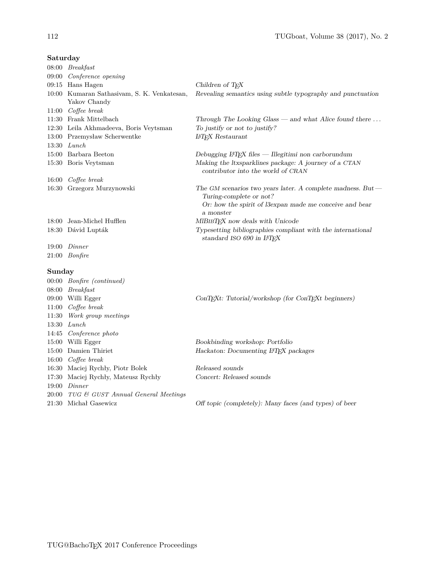| savai aaj |                                                             |                                                                                                                                                                  |
|-----------|-------------------------------------------------------------|------------------------------------------------------------------------------------------------------------------------------------------------------------------|
|           | $08:00$ $\;$ $Breakfast$                                    |                                                                                                                                                                  |
|           | 09:00 Conference opening                                    |                                                                                                                                                                  |
|           | 09:15 Hans Hagen                                            | Children of TEX                                                                                                                                                  |
|           | 10:00 Kumaran Sathasiyam, S. K. Venkatesan,<br>Yakov Chandy | Revealing semantics using subtle typography and punctuation                                                                                                      |
|           | $11:00$ Coffee break                                        |                                                                                                                                                                  |
|           | 11:30 Frank Mittelbach                                      | Through The Looking Glass — and what Alice found there $\dots$                                                                                                   |
|           | 12:30 Leila Akhmadeeva, Boris Veytsman                      | To justify or not to justify?                                                                                                                                    |
|           | 13:00 Przemysław Scherwentke                                | <b>IMEX</b> Restaurant                                                                                                                                           |
|           | $13:30$ <i>Lunch</i>                                        |                                                                                                                                                                  |
|           | 15:00 Barbara Beeton                                        | Debugging $LATEX$ files — Illegitimi non carborundum                                                                                                             |
|           | 15:30 Boris Veytsman                                        | Making the ltxsparklines package: A journey of a CTAN<br>contributor into the world of CRAN                                                                      |
|           | 16:00 Coffee break                                          |                                                                                                                                                                  |
|           | 16:30 Grzegorz Murzynowski                                  | The GM scenarios two years later. A complete madness. But $-$<br>Turing-complete or not?<br>Or: how the spirit of l3expan made me conceive and bear<br>a monster |
|           | 18:00 Jean-Michel Hufflen                                   | MIBIBTEX now deals with Unicode                                                                                                                                  |
|           | 18:30 Dávid Lupták                                          | Typesetting bibliographies compliant with the international<br>standard ISO 690 in IATEX                                                                         |
|           | $19:00$ Dinner                                              |                                                                                                                                                                  |
|           | $21:00$ Bonfire                                             |                                                                                                                                                                  |
| Sunday    |                                                             |                                                                                                                                                                  |
|           | 00:00 Bonfire (continued)                                   |                                                                                                                                                                  |
|           | 08:00 Breakfast                                             |                                                                                                                                                                  |
|           | 09:00 Willi Egger                                           | $ConTFXt$ : Tutorial/workshop (for ConT $FFXt$ beginners)                                                                                                        |
|           | $11:00$ Coffee break                                        |                                                                                                                                                                  |
| 11:30     | Work group meetings                                         |                                                                                                                                                                  |
|           | $13:30$ <i>Lunch</i>                                        |                                                                                                                                                                  |
|           | 14:45 Conference photo                                      |                                                                                                                                                                  |
|           | 15:00 Willi Egger                                           | Bookbinding workshop: Portfolio                                                                                                                                  |
|           | 15:00 Damien Thiriet                                        | Hackaton: Documenting IATEX packages                                                                                                                             |
|           | 16:00 Coffee break                                          |                                                                                                                                                                  |
|           | 16:30 Maciej Rychły, Piotr Bolek                            | Released sounds                                                                                                                                                  |
|           | 17:30 Maciej Rychły, Mateusz Rychły                         | Concert: Released sounds                                                                                                                                         |
|           | $19:00$ Dinner                                              |                                                                                                                                                                  |
|           | 20:00 TUG & GUST Annual General Meetings                    |                                                                                                                                                                  |
|           | 21:30 Michał Gasewicz                                       | Off topic (completely): Many faces (and types) of beer                                                                                                           |
|           |                                                             |                                                                                                                                                                  |